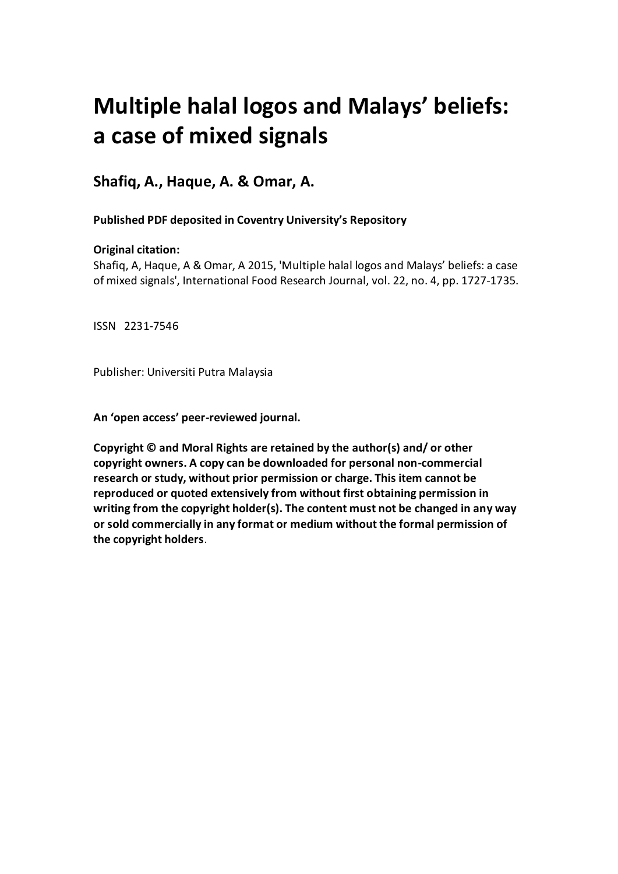# **Multiple halal logos and Malays' beliefs: a case of mixed signals**

**Shafiq, A., Haque, A. & Omar, A.**

**Published PDF deposited in Coventry University's Repository** 

# **Original citation:**

Shafiq, A, Haque, A & Omar, A 2015, 'Multiple halal logos and Malays' beliefs: a case of mixed signals', International Food Research Journal, vol. 22, no. 4, pp. 1727-1735.

ISSN 2231-7546

Publisher: Universiti Putra Malaysia

**An 'open access' peer-reviewed journal.**

**Copyright © and Moral Rights are retained by the author(s) and/ or other copyright owners. A copy can be downloaded for personal non-commercial research or study, without prior permission or charge. This item cannot be reproduced or quoted extensively from without first obtaining permission in writing from the copyright holder(s). The content must not be changed in any way or sold commercially in any format or medium without the formal permission of the copyright holders**.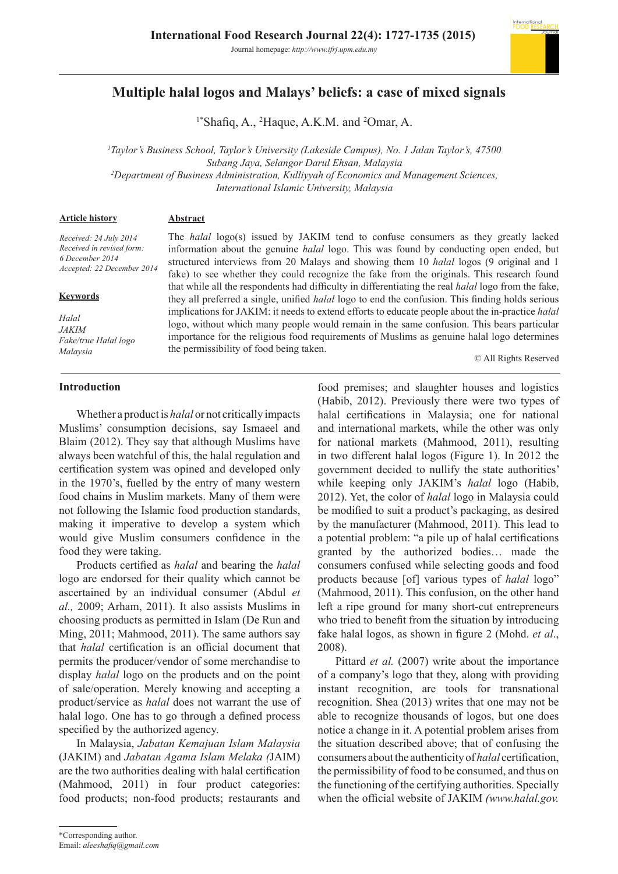

# **Multiple halal logos and Malays' beliefs: a case of mixed signals**

<sup>1\*</sup>Shafiq, A., <sup>2</sup>Haque, A.K.M. and <sup>2</sup>Omar, A.

*1 Taylor's Business School, Taylor's University (Lakeside Campus), No. 1 Jalan Taylor's, 47500 Subang Jaya, Selangor Darul Ehsan, Malaysia 2 Department of Business Administration, Kulliyyah of Economics and Management Sciences, International Islamic University, Malaysia*

**Article history**

#### **Abstract**

*Received: 24 July 2014 Received in revised form: 6 December 2014 Accepted: 22 December 2014*

#### **Keywords**

*Halal JAKIM Fake/true Halal logo Malaysia*

The *halal* logo(s) issued by JAKIM tend to confuse consumers as they greatly lacked information about the genuine *halal* logo. This was found by conducting open ended, but structured interviews from 20 Malays and showing them 10 *halal* logos (9 original and 1 fake) to see whether they could recognize the fake from the originals. This research found that while all the respondents had difficulty in differentiating the real *halal* logo from the fake, they all preferred a single, unified *halal* logo to end the confusion. This finding holds serious implications for JAKIM: it needs to extend efforts to educate people about the in-practice *halal*  logo, without which many people would remain in the same confusion. This bears particular importance for the religious food requirements of Muslims as genuine halal logo determines the permissibility of food being taken.

© All Rights Reserved

# **Introduction**

Whether a product is *halal* or not critically impacts Muslims' consumption decisions, say Ismaeel and Blaim (2012). They say that although Muslims have always been watchful of this, the halal regulation and certification system was opined and developed only in the 1970's, fuelled by the entry of many western food chains in Muslim markets. Many of them were not following the Islamic food production standards, making it imperative to develop a system which would give Muslim consumers confidence in the food they were taking.

Products certified as *halal* and bearing the *halal*  logo are endorsed for their quality which cannot be ascertained by an individual consumer (Abdul *et al.,* 2009; Arham, 2011). It also assists Muslims in choosing products as permitted in Islam (De Run and Ming, 2011; Mahmood, 2011). The same authors say that *halal* certification is an official document that permits the producer/vendor of some merchandise to display *halal* logo on the products and on the point of sale/operation. Merely knowing and accepting a product/service as *halal* does not warrant the use of halal logo. One has to go through a defined process specified by the authorized agency.

In Malaysia, *Jabatan Kemajuan Islam Malaysia* (JAKIM) and *Jabatan Agama Islam Melaka (*JAIM) are the two authorities dealing with halal certification (Mahmood, 2011) in four product categories: food products; non-food products; restaurants and

food premises; and slaughter houses and logistics (Habib, 2012). Previously there were two types of halal certifications in Malaysia; one for national and international markets, while the other was only for national markets (Mahmood, 2011), resulting in two different halal logos (Figure 1). In 2012 the government decided to nullify the state authorities' while keeping only JAKIM's *halal* logo (Habib, 2012). Yet, the color of *halal* logo in Malaysia could be modified to suit a product's packaging, as desired by the manufacturer (Mahmood, 2011). This lead to a potential problem: "a pile up of halal certifications granted by the authorized bodies… made the consumers confused while selecting goods and food products because [of] various types of *halal* logo" (Mahmood, 2011). This confusion, on the other hand left a ripe ground for many short-cut entrepreneurs who tried to benefit from the situation by introducing fake halal logos, as shown in figure 2 (Mohd. *et al*., 2008).

Pittard *et al.* (2007) write about the importance of a company's logo that they, along with providing instant recognition, are tools for transnational recognition. Shea (2013) writes that one may not be able to recognize thousands of logos, but one does notice a change in it. A potential problem arises from the situation described above; that of confusing the consumers about the authenticity of *halal* certification, the permissibility of food to be consumed, and thus on the functioning of the certifying authorities. Specially when the official website of JAKIM *(www.halal.gov.*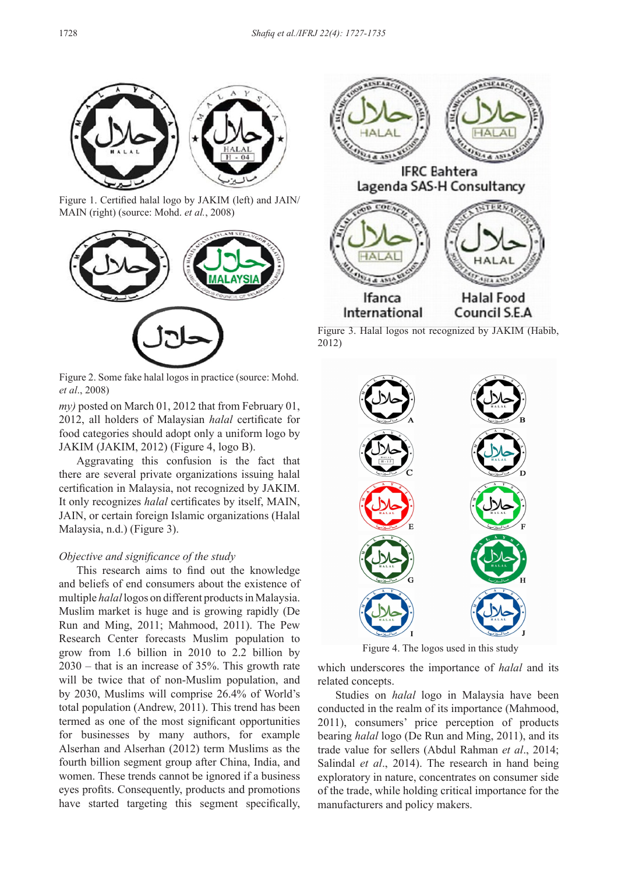

Figure 1. Certified halal logo by JAKIM (left) and JAIN/ MAIN (right) (source: Mohd. *et al.*, 2008)



Figure 2. Some fake halal logos in practice (source: Mohd. *et al*., 2008)

*my)* posted on March 01, 2012 that from February 01, 2012, all holders of Malaysian *halal* certificate for food categories should adopt only a uniform logo by JAKIM (JAKIM, 2012) (Figure 4, logo B).

Aggravating this confusion is the fact that there are several private organizations issuing halal certification in Malaysia, not recognized by JAKIM. It only recognizes *halal* certificates by itself, MAIN, JAIN, or certain foreign Islamic organizations (Halal Malaysia, n.d.) (Figure 3).

#### *Objective and significance of the study*

This research aims to find out the knowledge and beliefs of end consumers about the existence of multiple *halal* logos on different products in Malaysia. Muslim market is huge and is growing rapidly (De Run and Ming, 2011; Mahmood, 2011). The Pew Research Center forecasts Muslim population to grow from 1.6 billion in 2010 to 2.2 billion by 2030 – that is an increase of 35%. This growth rate will be twice that of non-Muslim population, and by 2030, Muslims will comprise 26.4% of World's total population (Andrew, 2011). This trend has been termed as one of the most significant opportunities for businesses by many authors, for example Alserhan and Alserhan (2012) term Muslims as the fourth billion segment group after China, India, and women. These trends cannot be ignored if a business eyes profits. Consequently, products and promotions have started targeting this segment specifically,



Figure 3. Halal logos not recognized by JAKIM (Habib, 2012)



Figure 4. The logos used in this study

which underscores the importance of *halal* and its related concepts.

Studies on *halal* logo in Malaysia have been conducted in the realm of its importance (Mahmood, 2011), consumers' price perception of products bearing *halal* logo (De Run and Ming, 2011), and its trade value for sellers (Abdul Rahman *et al*., 2014; Salindal *et al*., 2014). The research in hand being exploratory in nature, concentrates on consumer side of the trade, while holding critical importance for the manufacturers and policy makers.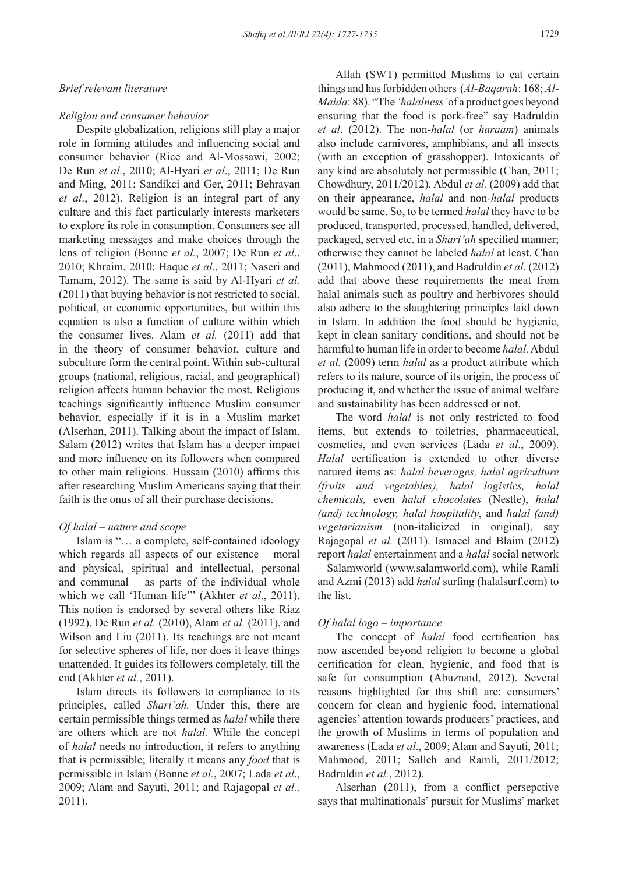### *Brief relevant literature*

#### *Religion and consumer behavior*

Despite globalization, religions still play a major role in forming attitudes and influencing social and consumer behavior (Rice and Al-Mossawi, 2002; De Run *et al.*, 2010; Al-Hyari *et al*., 2011; De Run and Ming, 2011; Sandikci and Ger, 2011; Behravan *et al*., 2012). Religion is an integral part of any culture and this fact particularly interests marketers to explore its role in consumption. Consumers see all marketing messages and make choices through the lens of religion (Bonne *et al.*, 2007; De Run *et al*., 2010; Khraim, 2010; Haque *et al*., 2011; Naseri and Tamam, 2012). The same is said by Al-Hyari *et al.*  (2011) that buying behavior is not restricted to social, political, or economic opportunities, but within this equation is also a function of culture within which the consumer lives. Alam *et al.* (2011) add that in the theory of consumer behavior, culture and subculture form the central point. Within sub-cultural groups (national, religious, racial, and geographical) religion affects human behavior the most. Religious teachings significantly influence Muslim consumer behavior, especially if it is in a Muslim market (Alserhan, 2011). Talking about the impact of Islam, Salam (2012) writes that Islam has a deeper impact and more influence on its followers when compared to other main religions. Hussain (2010) affirms this after researching Muslim Americans saying that their faith is the onus of all their purchase decisions.

# *Of halal – nature and scope*

Islam is "… a complete, self-contained ideology which regards all aspects of our existence – moral and physical, spiritual and intellectual, personal and communal – as parts of the individual whole which we call 'Human life'" (Akhter *et al*., 2011). This notion is endorsed by several others like Riaz (1992), De Run *et al.* (2010), Alam *et al.* (2011), and Wilson and Liu (2011). Its teachings are not meant for selective spheres of life, nor does it leave things unattended. It guides its followers completely, till the end (Akhter *et al.*, 2011).

Islam directs its followers to compliance to its principles, called *Shari'ah.* Under this, there are certain permissible things termed as *halal* while there are others which are not *halal.* While the concept of *halal* needs no introduction, it refers to anything that is permissible; literally it means any *food* that is permissible in Islam (Bonne *et al.*, 2007; Lada *et al*., 2009; Alam and Sayuti, 2011; and Rajagopal *et al.,* 2011).

Allah (SWT) permitted Muslims to eat certain things and has forbidden others (*Al-Baqarah*: 168; *Al-Maida*: 88). "The *'halalness'* of a product goes beyond ensuring that the food is pork-free" say Badruldin *et al*. (2012). The non-*halal* (or *haraam*) animals also include carnivores, amphibians, and all insects (with an exception of grasshopper). Intoxicants of any kind are absolutely not permissible (Chan, 2011; Chowdhury, 2011/2012). Abdul *et al.* (2009) add that on their appearance, *halal* and non-*halal* products would be same. So, to be termed *halal* they have to be produced, transported, processed, handled, delivered, packaged, served etc. in a *Shari'ah* specified manner; otherwise they cannot be labeled *halal* at least. Chan (2011), Mahmood (2011), and Badruldin *et al*. (2012) add that above these requirements the meat from halal animals such as poultry and herbivores should also adhere to the slaughtering principles laid down in Islam. In addition the food should be hygienic, kept in clean sanitary conditions, and should not be harmful to human life in order to become *halal.* Abdul *et al.* (2009) term *halal* as a product attribute which refers to its nature, source of its origin, the process of producing it, and whether the issue of animal welfare and sustainability has been addressed or not.

The word *halal* is not only restricted to food items, but extends to toiletries, pharmaceutical, cosmetics, and even services (Lada *et al*., 2009). *Halal* certification is extended to other diverse natured items as: *halal beverages, halal agriculture (fruits and vegetables), halal logistics, halal chemicals,* even *halal chocolates* (Nestle), *halal (and) technology, halal hospitality*, and *halal (and) vegetarianism* (non-italicized in original), say Rajagopal *et al.* (2011). Ismaeel and Blaim (2012) report *halal* entertainment and a *halal* social network – Salamworld (www.salamworld.com), while Ramli and Azmi (2013) add *halal* surfing (halalsurf.com) to the list.

#### *Of halal logo – importance*

The concept of *halal* food certification has now ascended beyond religion to become a global certification for clean, hygienic, and food that is safe for consumption (Abuznaid, 2012). Several reasons highlighted for this shift are: consumers' concern for clean and hygienic food, international agencies' attention towards producers' practices, and the growth of Muslims in terms of population and awareness (Lada *et al*., 2009; Alam and Sayuti, 2011; Mahmood, 2011; Salleh and Ramli, 2011/2012; Badruldin *et al.*, 2012).

Alserhan (2011), from a conflict persepctive says that multinationals' pursuit for Muslims' market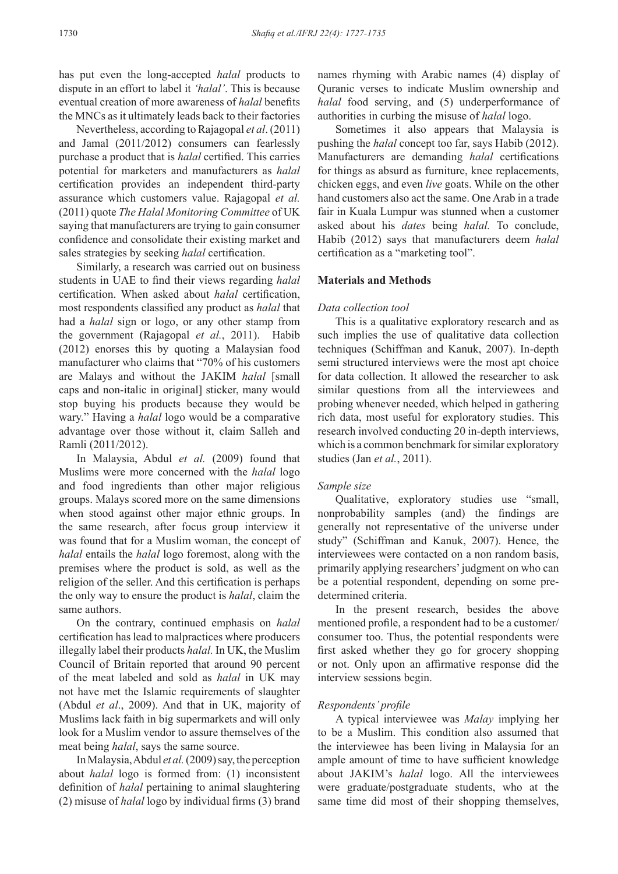has put even the long-accepted *halal* products to dispute in an effort to label it *'halal'*. This is because eventual creation of more awareness of *halal* benefits the MNCs as it ultimately leads back to their factories

Nevertheless, according to Rajagopal *et al*. (2011) and Jamal (2011/2012) consumers can fearlessly purchase a product that is *halal* certified. This carries potential for marketers and manufacturers as *halal*  certification provides an independent third-party assurance which customers value. Rajagopal *et al.* (2011) quote *The Halal Monitoring Committee* of UK saying that manufacturers are trying to gain consumer confidence and consolidate their existing market and sales strategies by seeking *halal* certification.

Similarly, a research was carried out on business students in UAE to find their views regarding *halal*  certification. When asked about *halal* certification, most respondents classified any product as *halal* that had a *halal* sign or logo, or any other stamp from the government (Rajagopal *et al.*, 2011). Habib (2012) enorses this by quoting a Malaysian food manufacturer who claims that "70% of his customers are Malays and without the JAKIM *halal* [small caps and non-italic in original] sticker, many would stop buying his products because they would be wary." Having a *halal* logo would be a comparative advantage over those without it, claim Salleh and Ramli (2011/2012).

In Malaysia, Abdul *et al.* (2009) found that Muslims were more concerned with the *halal* logo and food ingredients than other major religious groups. Malays scored more on the same dimensions when stood against other major ethnic groups. In the same research, after focus group interview it was found that for a Muslim woman, the concept of *halal* entails the *halal* logo foremost, along with the premises where the product is sold, as well as the religion of the seller. And this certification is perhaps the only way to ensure the product is *halal*, claim the same authors.

On the contrary, continued emphasis on *halal*  certification has lead to malpractices where producers illegally label their products *halal.* In UK, the Muslim Council of Britain reported that around 90 percent of the meat labeled and sold as *halal* in UK may not have met the Islamic requirements of slaughter (Abdul *et al*., 2009). And that in UK, majority of Muslims lack faith in big supermarkets and will only look for a Muslim vendor to assure themselves of the meat being *halal*, says the same source.

In Malaysia, Abdul *et al.* (2009) say, the perception about *halal* logo is formed from: (1) inconsistent definition of *halal* pertaining to animal slaughtering (2) misuse of *halal* logo by individual firms (3) brand names rhyming with Arabic names (4) display of Quranic verses to indicate Muslim ownership and *halal* food serving, and (5) underperformance of authorities in curbing the misuse of *halal* logo.

Sometimes it also appears that Malaysia is pushing the *halal* concept too far, says Habib (2012). Manufacturers are demanding *halal* certifications for things as absurd as furniture, knee replacements, chicken eggs, and even *live* goats. While on the other hand customers also act the same. One Arab in a trade fair in Kuala Lumpur was stunned when a customer asked about his *dates* being *halal.* To conclude, Habib (2012) says that manufacturers deem *halal* certification as a "marketing tool".

# **Materials and Methods**

# *Data collection tool*

This is a qualitative exploratory research and as such implies the use of qualitative data collection techniques (Schiffman and Kanuk, 2007). In-depth semi structured interviews were the most apt choice for data collection. It allowed the researcher to ask similar questions from all the interviewees and probing whenever needed, which helped in gathering rich data, most useful for exploratory studies. This research involved conducting 20 in-depth interviews, which is a common benchmark for similar exploratory studies (Jan *et al.*, 2011).

#### *Sample size*

Qualitative, exploratory studies use "small, nonprobability samples (and) the findings are generally not representative of the universe under study" (Schiffman and Kanuk, 2007). Hence, the interviewees were contacted on a non random basis, primarily applying researchers' judgment on who can be a potential respondent, depending on some predetermined criteria.

In the present research, besides the above mentioned profile, a respondent had to be a customer/ consumer too. Thus, the potential respondents were first asked whether they go for grocery shopping or not. Only upon an affirmative response did the interview sessions begin.

# *Respondents' profile*

A typical interviewee was *Malay* implying her to be a Muslim. This condition also assumed that the interviewee has been living in Malaysia for an ample amount of time to have sufficient knowledge about JAKIM's *halal* logo. All the interviewees were graduate/postgraduate students, who at the same time did most of their shopping themselves,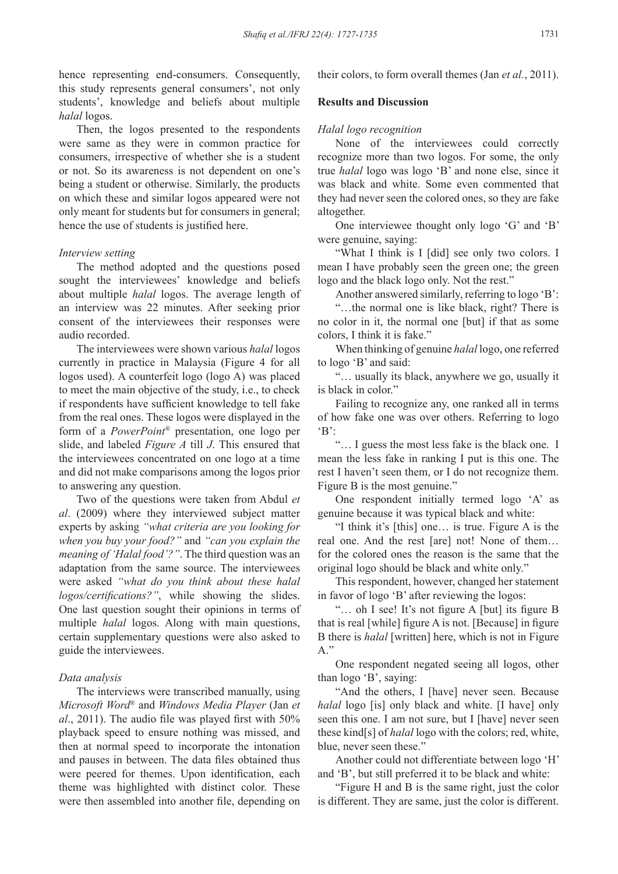hence representing end-consumers. Consequently, this study represents general consumers', not only students', knowledge and beliefs about multiple *halal* logos.

Then, the logos presented to the respondents were same as they were in common practice for consumers, irrespective of whether she is a student or not. So its awareness is not dependent on one's being a student or otherwise. Similarly, the products on which these and similar logos appeared were not only meant for students but for consumers in general; hence the use of students is justified here.

# *Interview setting*

The method adopted and the questions posed sought the interviewees' knowledge and beliefs about multiple *halal* logos. The average length of an interview was 22 minutes. After seeking prior consent of the interviewees their responses were audio recorded.

The interviewees were shown various *halal* logos currently in practice in Malaysia (Figure 4 for all logos used). A counterfeit logo (logo A) was placed to meet the main objective of the study, i.e., to check if respondents have sufficient knowledge to tell fake from the real ones. These logos were displayed in the form of a *PowerPoint®* presentation, one logo per slide, and labeled *Figure A* till *J*. This ensured that the interviewees concentrated on one logo at a time and did not make comparisons among the logos prior to answering any question.

Two of the questions were taken from Abdul *et al*. (2009) where they interviewed subject matter experts by asking *"what criteria are you looking for when you buy your food?"* and *"can you explain the meaning of 'Halal food'?"*. The third question was an adaptation from the same source. The interviewees were asked *"what do you think about these halal logos/certifications?"*, while showing the slides. One last question sought their opinions in terms of multiple *halal* logos. Along with main questions, certain supplementary questions were also asked to guide the interviewees.

# *Data analysis*

The interviews were transcribed manually, using *Microsoft Word*® and *Windows Media Player* (Jan *et al*., 2011). The audio file was played first with 50% playback speed to ensure nothing was missed, and then at normal speed to incorporate the intonation and pauses in between. The data files obtained thus were peered for themes. Upon identification, each theme was highlighted with distinct color. These were then assembled into another file, depending on their colors, to form overall themes (Jan *et al.*, 2011).

#### **Results and Discussion**

#### *Halal logo recognition*

None of the interviewees could correctly recognize more than two logos. For some, the only true *halal* logo was logo 'B' and none else, since it was black and white. Some even commented that they had never seen the colored ones, so they are fake altogether.

One interviewee thought only logo 'G' and 'B' were genuine, saying:

"What I think is I [did] see only two colors. I mean I have probably seen the green one; the green logo and the black logo only. Not the rest."

Another answered similarly, referring to logo 'B':

"…the normal one is like black, right? There is no color in it, the normal one [but] if that as some colors, I think it is fake."

When thinking of genuine *halal* logo, one referred to logo 'B' and said:

"… usually its black, anywhere we go, usually it is black in color."

Failing to recognize any, one ranked all in terms of how fake one was over others. Referring to logo  $\cdot$ B':

"… I guess the most less fake is the black one. I mean the less fake in ranking I put is this one. The rest I haven't seen them, or I do not recognize them. Figure B is the most genuine."

One respondent initially termed logo 'A' as genuine because it was typical black and white:

"I think it's [this] one… is true. Figure A is the real one. And the rest [are] not! None of them… for the colored ones the reason is the same that the original logo should be black and white only."

This respondent, however, changed her statement in favor of logo 'B' after reviewing the logos:

"… oh I see! It's not figure A [but] its figure B that is real [while] figure A is not. [Because] in figure B there is *halal* [written] here, which is not in Figure  $A$ "

One respondent negated seeing all logos, other than logo 'B', saying:

"And the others, I [have] never seen. Because *halal* logo [is] only black and white. [I have] only seen this one. I am not sure, but I [have] never seen these kind[s] of *halal* logo with the colors; red, white, blue, never seen these."

Another could not differentiate between logo 'H' and 'B', but still preferred it to be black and white:

"Figure H and B is the same right, just the color is different. They are same, just the color is different.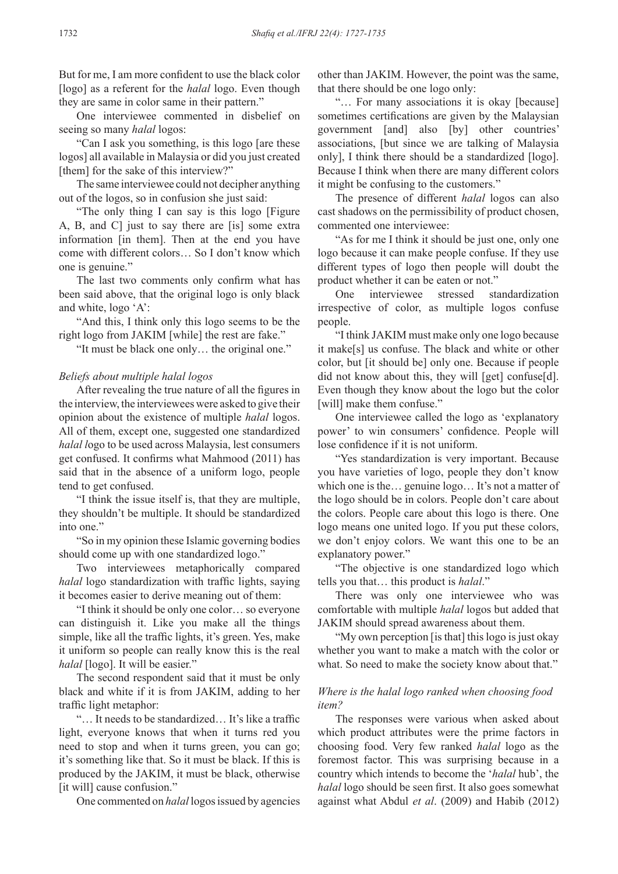But for me, I am more confident to use the black color [logo] as a referent for the *halal* logo. Even though they are same in color same in their pattern."

One interviewee commented in disbelief on seeing so many *halal* logos:

"Can I ask you something, is this logo [are these logos] all available in Malaysia or did you just created [them] for the sake of this interview?"

The same interviewee could not decipher anything out of the logos, so in confusion she just said:

"The only thing I can say is this logo [Figure A, B, and C] just to say there are [is] some extra information [in them]. Then at the end you have come with different colors… So I don't know which one is genuine."

The last two comments only confirm what has been said above, that the original logo is only black and white, logo 'A':

"And this, I think only this logo seems to be the right logo from JAKIM [while] the rest are fake."

"It must be black one only… the original one."

#### *Beliefs about multiple halal logos*

After revealing the true nature of all the figures in the interview, the interviewees were asked to give their opinion about the existence of multiple *halal* logos. All of them, except one, suggested one standardized *halal l*ogo to be used across Malaysia, lest consumers get confused. It confirms what Mahmood (2011) has said that in the absence of a uniform logo, people tend to get confused.

"I think the issue itself is, that they are multiple, they shouldn't be multiple. It should be standardized into one."

"So in my opinion these Islamic governing bodies should come up with one standardized logo."

Two interviewees metaphorically compared *halal* logo standardization with traffic lights, saying it becomes easier to derive meaning out of them:

"I think it should be only one color… so everyone can distinguish it. Like you make all the things simple, like all the traffic lights, it's green. Yes, make it uniform so people can really know this is the real *halal* [logo]. It will be easier."

The second respondent said that it must be only black and white if it is from JAKIM, adding to her traffic light metaphor:

"… It needs to be standardized… It's like a traffic light, everyone knows that when it turns red you need to stop and when it turns green, you can go; it's something like that. So it must be black. If this is produced by the JAKIM, it must be black, otherwise [it will] cause confusion."

One commented on *halal* logos issued by agencies

other than JAKIM. However, the point was the same, that there should be one logo only:

"… For many associations it is okay [because] sometimes certifications are given by the Malaysian government [and] also [by] other countries' associations, [but since we are talking of Malaysia only], I think there should be a standardized [logo]. Because I think when there are many different colors it might be confusing to the customers."

The presence of different *halal* logos can also cast shadows on the permissibility of product chosen, commented one interviewee:

"As for me I think it should be just one, only one logo because it can make people confuse. If they use different types of logo then people will doubt the product whether it can be eaten or not."

One interviewee stressed standardization irrespective of color, as multiple logos confuse people.

"I think JAKIM must make only one logo because it make[s] us confuse. The black and white or other color, but [it should be] only one. Because if people did not know about this, they will [get] confuse[d]. Even though they know about the logo but the color [will] make them confuse."

One interviewee called the logo as 'explanatory power' to win consumers' confidence. People will lose confidence if it is not uniform.

"Yes standardization is very important. Because you have varieties of logo, people they don't know which one is the… genuine logo… It's not a matter of the logo should be in colors. People don't care about the colors. People care about this logo is there. One logo means one united logo. If you put these colors, we don't enjoy colors. We want this one to be an explanatory power."

"The objective is one standardized logo which tells you that… this product is *halal*."

There was only one interviewee who was comfortable with multiple *halal* logos but added that JAKIM should spread awareness about them.

"My own perception [is that] this logo is just okay whether you want to make a match with the color or what. So need to make the society know about that."

# *Where is the halal logo ranked when choosing food item?*

The responses were various when asked about which product attributes were the prime factors in choosing food. Very few ranked *halal* logo as the foremost factor. This was surprising because in a country which intends to become the '*halal* hub', the *halal* logo should be seen first. It also goes somewhat against what Abdul *et al*. (2009) and Habib (2012)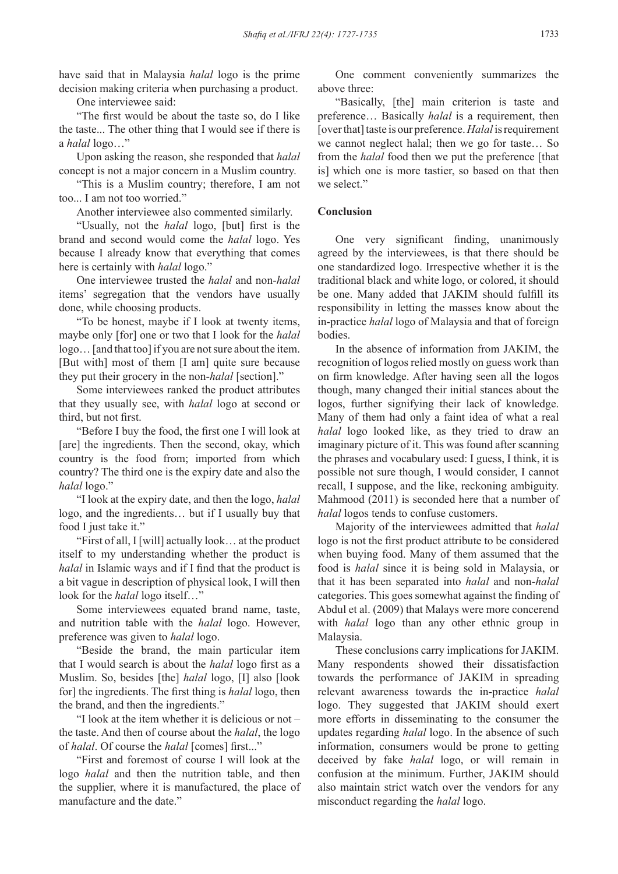have said that in Malaysia *halal* logo is the prime decision making criteria when purchasing a product.

One interviewee said:

"The first would be about the taste so, do I like the taste... The other thing that I would see if there is a *halal* logo…"

Upon asking the reason, she responded that *halal* concept is not a major concern in a Muslim country.

"This is a Muslim country; therefore, I am not too... I am not too worried."

Another interviewee also commented similarly.

"Usually, not the *halal* logo, [but] first is the brand and second would come the *halal* logo. Yes because I already know that everything that comes here is certainly with *halal* logo."

One interviewee trusted the *halal* and non-*halal* items' segregation that the vendors have usually done, while choosing products.

"To be honest, maybe if I look at twenty items, maybe only [for] one or two that I look for the *halal* logo… [and that too] if you are not sure about the item. [But with] most of them [I am] quite sure because they put their grocery in the non-*halal* [section]."

Some interviewees ranked the product attributes that they usually see, with *halal* logo at second or third, but not first.

"Before I buy the food, the first one I will look at [are] the ingredients. Then the second, okay, which country is the food from; imported from which country? The third one is the expiry date and also the *halal* logo."

"I look at the expiry date, and then the logo, *halal* logo, and the ingredients… but if I usually buy that food I just take it."

"First of all, I [will] actually look… at the product itself to my understanding whether the product is *halal* in Islamic ways and if I find that the product is a bit vague in description of physical look, I will then look for the *halal* logo itself…"

Some interviewees equated brand name, taste, and nutrition table with the *halal* logo. However, preference was given to *halal* logo.

"Beside the brand, the main particular item that I would search is about the *halal* logo first as a Muslim. So, besides [the] *halal* logo, [I] also [look for] the ingredients. The first thing is *halal* logo, then the brand, and then the ingredients."

"I look at the item whether it is delicious or not – the taste. And then of course about the *halal*, the logo of *halal*. Of course the *halal* [comes] first..."

"First and foremost of course I will look at the logo *halal* and then the nutrition table, and then the supplier, where it is manufactured, the place of manufacture and the date."

One comment conveniently summarizes the above three:

"Basically, [the] main criterion is taste and preference… Basically *halal* is a requirement, then [over that] taste is our preference. *Halal* is requirement we cannot neglect halal; then we go for taste… So from the *halal* food then we put the preference [that is] which one is more tastier, so based on that then we select."

# **Conclusion**

One very significant finding, unanimously agreed by the interviewees, is that there should be one standardized logo. Irrespective whether it is the traditional black and white logo, or colored, it should be one. Many added that JAKIM should fulfill its responsibility in letting the masses know about the in-practice *halal* logo of Malaysia and that of foreign bodies.

In the absence of information from JAKIM, the recognition of logos relied mostly on guess work than on firm knowledge. After having seen all the logos though, many changed their initial stances about the logos, further signifying their lack of knowledge. Many of them had only a faint idea of what a real *halal* logo looked like, as they tried to draw an imaginary picture of it. This was found after scanning the phrases and vocabulary used: I guess, I think, it is possible not sure though, I would consider, I cannot recall, I suppose, and the like, reckoning ambiguity. Mahmood (2011) is seconded here that a number of *halal* logos tends to confuse customers.

Majority of the interviewees admitted that *halal* logo is not the first product attribute to be considered when buying food. Many of them assumed that the food is *halal* since it is being sold in Malaysia, or that it has been separated into *halal* and non-*halal* categories. This goes somewhat against the finding of Abdul et al. (2009) that Malays were more concerend with *halal* logo than any other ethnic group in Malaysia.

These conclusions carry implications for JAKIM. Many respondents showed their dissatisfaction towards the performance of JAKIM in spreading relevant awareness towards the in-practice *halal* logo. They suggested that JAKIM should exert more efforts in disseminating to the consumer the updates regarding *halal* logo. In the absence of such information, consumers would be prone to getting deceived by fake *halal* logo, or will remain in confusion at the minimum. Further, JAKIM should also maintain strict watch over the vendors for any misconduct regarding the *halal* logo.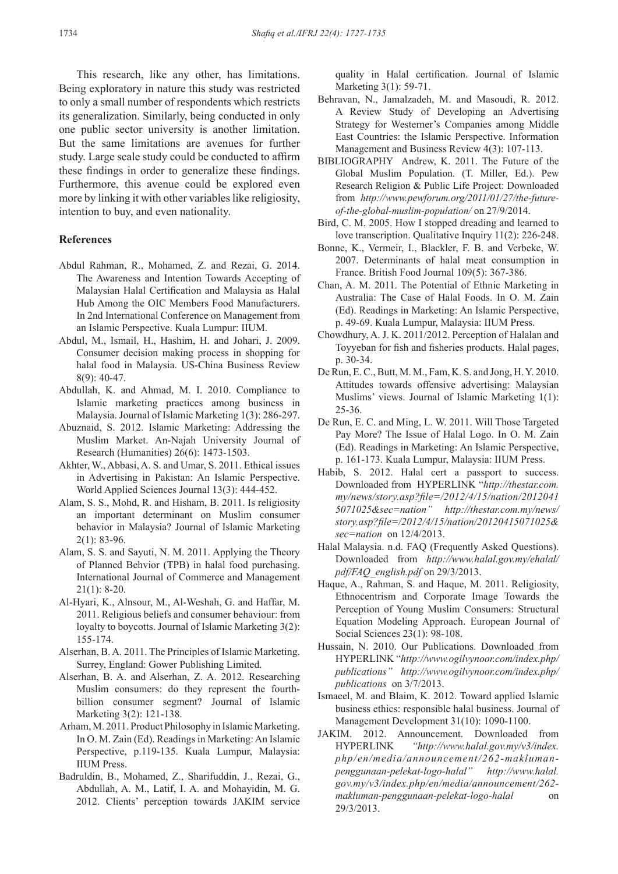This research, like any other, has limitations. Being exploratory in nature this study was restricted to only a small number of respondents which restricts its generalization. Similarly, being conducted in only one public sector university is another limitation. But the same limitations are avenues for further study. Large scale study could be conducted to affirm these findings in order to generalize these findings. Furthermore, this avenue could be explored even more by linking it with other variables like religiosity, intention to buy, and even nationality.

#### **References**

- Abdul Rahman, R., Mohamed, Z. and Rezai, G. 2014. The Awareness and Intention Towards Accepting of Malaysian Halal Certification and Malaysia as Halal Hub Among the OIC Members Food Manufacturers. In 2nd International Conference on Management from an Islamic Perspective. Kuala Lumpur: IIUM.
- Abdul, M., Ismail, H., Hashim, H. and Johari, J. 2009. Consumer decision making process in shopping for halal food in Malaysia. US-China Business Review 8(9): 40-47.
- Abdullah, K. and Ahmad, M. I. 2010. Compliance to Islamic marketing practices among business in Malaysia. Journal of Islamic Marketing 1(3): 286-297.
- Abuznaid, S. 2012. Islamic Marketing: Addressing the Muslim Market. An-Najah University Journal of Research (Humanities) 26(6): 1473-1503.
- Akhter, W., Abbasi, A. S. and Umar, S. 2011. Ethical issues in Advertising in Pakistan: An Islamic Perspective. World Applied Sciences Journal 13(3): 444-452.
- Alam, S. S., Mohd, R. and Hisham, B. 2011. Is religiosity an important determinant on Muslim consumer behavior in Malaysia? Journal of Islamic Marketing 2(1): 83-96.
- Alam, S. S. and Sayuti, N. M. 2011. Applying the Theory of Planned Behvior (TPB) in halal food purchasing. International Journal of Commerce and Management 21(1): 8-20.
- Al-Hyari, K., Alnsour, M., Al-Weshah, G. and Haffar, M. 2011. Religious beliefs and consumer behaviour: from loyalty to boycotts. Journal of Islamic Marketing 3(2): 155-174.
- Alserhan, B. A. 2011. The Principles of Islamic Marketing. Surrey, England: Gower Publishing Limited.
- Alserhan, B. A. and Alserhan, Z. A. 2012. Researching Muslim consumers: do they represent the fourthbillion consumer segment? Journal of Islamic Marketing 3(2): 121-138.
- Arham, M. 2011. Product Philosophy in Islamic Marketing. In O. M. Zain (Ed). Readings in Marketing: An Islamic Perspective, p.119-135. Kuala Lumpur, Malaysia: IIUM Press.
- Badruldin, B., Mohamed, Z., Sharifuddin, J., Rezai, G., Abdullah, A. M., Latif, I. A. and Mohayidin, M. G. 2012. Clients' perception towards JAKIM service

quality in Halal certification. Journal of Islamic Marketing 3(1): 59-71.

- Behravan, N., Jamalzadeh, M. and Masoudi, R. 2012. A Review Study of Developing an Advertising Strategy for Westerner's Companies among Middle East Countries: the Islamic Perspective. Information Management and Business Review 4(3): 107-113.
- BIBLIOGRAPHY Andrew, K. 2011. The Future of the Global Muslim Population. (T. Miller, Ed.). Pew Research Religion & Public Life Project: Downloaded from *http://www.pewforum.org/2011/01/27/the-futureof-the-global-muslim-population/* on 27/9/2014.
- Bird, C. M. 2005. How I stopped dreading and learned to love transcription. Qualitative Inquiry 11(2): 226-248.
- Bonne, K., Vermeir, I., Blackler, F. B. and Verbeke, W. 2007. Determinants of halal meat consumption in France. British Food Journal 109(5): 367-386.
- Chan, A. M. 2011. The Potential of Ethnic Marketing in Australia: The Case of Halal Foods. In O. M. Zain (Ed). Readings in Marketing: An Islamic Perspective, p. 49-69. Kuala Lumpur, Malaysia: IIUM Press.
- Chowdhury, A. J. K. 2011/2012. Perception of Halalan and Toyyeban for fish and fisheries products. Halal pages, p. 30-34.
- De Run, E. C., Butt, M. M., Fam, K. S. and Jong, H. Y. 2010. Attitudes towards offensive advertising: Malaysian Muslims' views. Journal of Islamic Marketing 1(1): 25-36.
- De Run, E. C. and Ming, L. W. 2011. Will Those Targeted Pay More? The Issue of Halal Logo. In O. M. Zain (Ed). Readings in Marketing: An Islamic Perspective, p. 161-173. Kuala Lumpur, Malaysia: IIUM Press.
- Habib, S. 2012. Halal cert a passport to success. Downloaded from HYPERLINK "*http://thestar.com. my/news/story.asp?file=/2012/4/15/nation/2012041 5071025&sec=nation" http://thestar.com.my/news/ story.asp?file=/2012/4/15/nation/20120415071025& sec=nation* on 12/4/2013.
- Halal Malaysia. n.d. FAQ (Frequently Asked Questions). Downloaded from *http://www.halal.gov.my/ehalal/ pdf/FAQ\_english.pdf* on 29/3/2013.
- Haque, A., Rahman, S. and Haque, M. 2011. Religiosity, Ethnocentrism and Corporate Image Towards the Perception of Young Muslim Consumers: Structural Equation Modeling Approach. European Journal of Social Sciences 23(1): 98-108.
- Hussain, N. 2010. Our Publications. Downloaded from HYPERLINK "*http://www.ogilvynoor.com/index.php/ publications" http://www.ogilvynoor.com/index.php/ publications* on 3/7/2013.
- Ismaeel, M. and Blaim, K. 2012. Toward applied Islamic business ethics: responsible halal business. Journal of Management Development 31(10): 1090-1100.
- JAKIM. 2012. Announcement. Downloaded from HYPERLINK *"http://www.halal.gov.my/v3/index. php/en/media/announcement/262-maklumanpenggunaan-pelekat-logo-halal" http://www.halal. gov.my/v3/index.php/en/media/announcement/262 makluman-penggunaan-pelekat-logo-halal* on 29/3/2013.